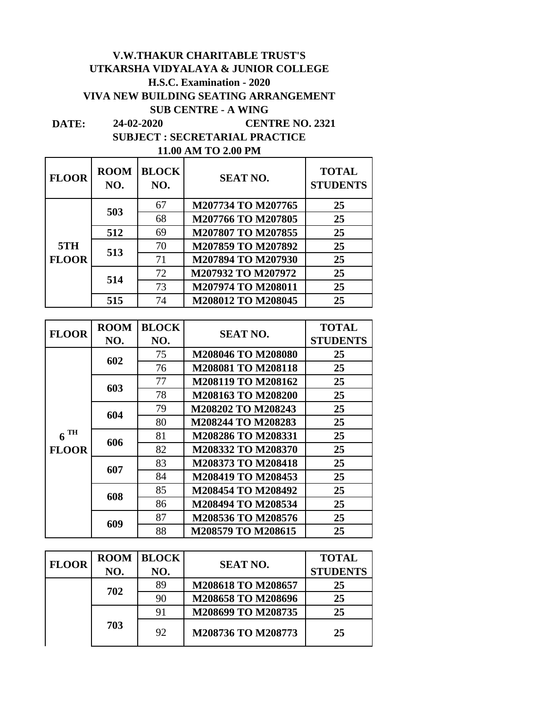## **V.W.THAKUR CHARITABLE TRUST'S UTKARSHA VIDYALAYA & JUNIOR COLLEGE H.S.C. Examination - 2020 VIVA NEW BUILDING SEATING ARRANGEMENT SUB CENTRE - A WING 24-02-2020 CENTRE NO. 2321**

**DATE: SUBJECT : SECRETARIAL PRACTICE 11.00 AM TO 2.00 PM**

| <b>FLOOR</b> | <b>ROOM</b><br>NO. | <b>BLOCK</b><br>NO. | <b>SEAT NO.</b>    | <b>TOTAL</b><br><b>STUDENTS</b> |
|--------------|--------------------|---------------------|--------------------|---------------------------------|
|              | 503                | 67                  | M207734 TO M207765 | 25                              |
|              |                    | 68                  | M207766 TO M207805 | 25                              |
|              | 512                | 69                  | M207807 TO M207855 | 25                              |
| 5TH          | 513                | 70                  | M207859 TO M207892 | 25                              |
| <b>FLOOR</b> |                    | 71                  | M207894 TO M207930 | 25                              |
|              | 514                | 72                  | M207932 TO M207972 | 25                              |
|              |                    | 73                  | M207974 TO M208011 | 25                              |
|              | 515                | 74                  | M208012 TO M208045 | 25                              |

| <b>FLOOR</b>      | <b>ROOM</b> | <b>BLOCK</b> | <b>SEAT NO.</b>    | <b>TOTAL</b>    |
|-------------------|-------------|--------------|--------------------|-----------------|
|                   | NO.         | NO.          |                    | <b>STUDENTS</b> |
|                   |             | 75           | M208046 TO M208080 | 25              |
|                   | 602         | 76           | M208081 TO M208118 | 25              |
|                   | 603         | 77           | M208119 TO M208162 | 25              |
|                   |             | 78           | M208163 TO M208200 | 25              |
|                   | 604         | 79           | M208202 TO M208243 | 25              |
|                   |             | 80           | M208244 TO M208283 | 25              |
| $6$ <sup>TH</sup> | 606         | 81           | M208286 TO M208331 | 25              |
| <b>FLOOR</b>      |             | 82           | M208332 TO M208370 | 25              |
|                   | 607         | 83           | M208373 TO M208418 | 25              |
|                   |             | 84           | M208419 TO M208453 | 25              |
|                   | 608         | 85           | M208454 TO M208492 | 25              |
|                   |             | 86           | M208494 TO M208534 | 25              |
|                   |             | 87           | M208536 TO M208576 | 25              |
|                   | 609         | 88           | M208579 TO M208615 | 25              |

| <b>FLOOR</b> | <b>ROOM</b> | <b>BLOCK</b> | <b>SEAT NO.</b>    | <b>TOTAL</b>    |
|--------------|-------------|--------------|--------------------|-----------------|
|              | NO.         | NO.          |                    | <b>STUDENTS</b> |
|              | 702         | 89           | M208618 TO M208657 | 25              |
|              |             | 90           | M208658 TO M208696 | 25              |
|              |             | 91           | M208699 TO M208735 | 25              |
|              | 703         | 92           | M208736 TO M208773 | 25              |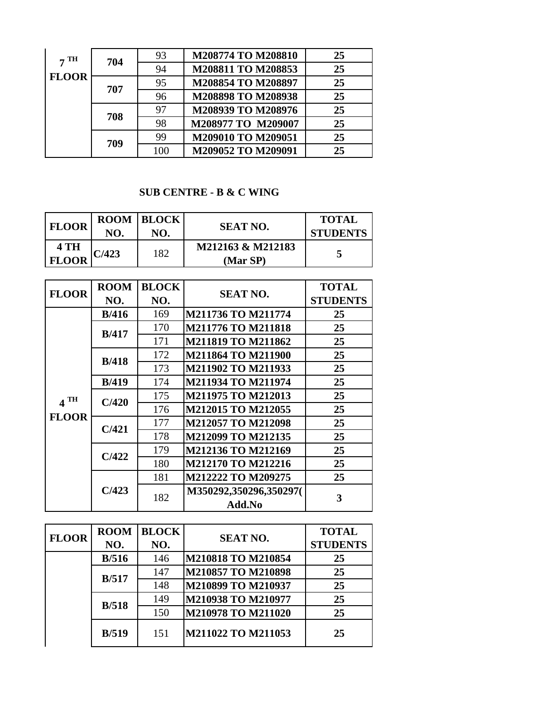| $7^{\rm TH}$ | 704 | 93  | M208774 TO M208810 | 25 |
|--------------|-----|-----|--------------------|----|
|              |     | 94  | M208811 TO M208853 | 25 |
| <b>FLOOR</b> | 707 | 95  | M208854 TO M208897 | 25 |
|              |     | 96  | M208898 TO M208938 | 25 |
|              | 708 | 97  | M208939 TO M208976 | 25 |
|              |     | 98  | M208977 TO M209007 | 25 |
|              | 709 | 99  | M209010 TO M209051 | 25 |
|              |     | 100 | M209052 TO M209091 | 25 |

## **SUB CENTRE - B & C WING**

| <b>FLOOR</b>         | NO.   | <b>ROOM BLOCK</b><br>NO. | <b>SEAT NO.</b>               | <b>TOTAL</b><br><b>STUDENTS</b> |
|----------------------|-------|--------------------------|-------------------------------|---------------------------------|
| 4 TH<br><b>FLOOR</b> | C/423 | 182                      | M212163 & M212183<br>(Mar SP) |                                 |

| <b>FLOOR</b> | <b>ROOM</b>   | <b>BLOCK</b> | <b>SEAT NO.</b>                  | <b>TOTAL</b>    |
|--------------|---------------|--------------|----------------------------------|-----------------|
|              | NO.           | NO.          |                                  | <b>STUDENTS</b> |
|              | B/416         | 169          | M211736 TO M211774               | 25              |
|              | B/417         | 170          | <b>M211776 TO M211818</b>        | 25              |
|              |               | 171          | <b>M211819 TO M211862</b>        | 25              |
|              |               | 172          | M211864 TO M211900               | 25              |
|              | B/418         | 173          | M211902 TO M211933               | 25              |
|              | <b>B</b> /419 | 174          | M211934 TO M211974               | 25              |
| TН           | C/420         | 175          | M211975 TO M212013               | 25              |
|              |               | 176          | M212015 TO M212055               | 25              |
| <b>FLOOR</b> | C/421         | 177          | <b>M212057 TO M212098</b>        | 25              |
|              |               | 178          | M212099 TO M212135               | 25              |
|              | C/422         | 179          | M212136 TO M212169               | 25              |
|              |               | 180          | M212170 TO M212216               | 25              |
|              |               | 181          | M212222 TO M209275               | 25              |
|              | C/423         | 182          | M350292,350296,350297(<br>Add.No | 3               |

| <b>FLOOR</b> | <b>ROOM</b> | <b>BLOCK</b> | <b>SEAT NO.</b>    | <b>TOTAL</b>    |
|--------------|-------------|--------------|--------------------|-----------------|
|              | NO.         | NO.          |                    | <b>STUDENTS</b> |
|              | B/516       | 146          | M210818 TO M210854 | 25              |
|              | B/517       | 147          | M210857 TO M210898 | 25              |
|              |             | 148          | M210899 TO M210937 | 25              |
|              | B/518       | 149          | M210938 TO M210977 | 25              |
|              |             | 150          | M210978 TO M211020 | 25              |
|              | B/519       | 151          | M211022 TO M211053 | 25              |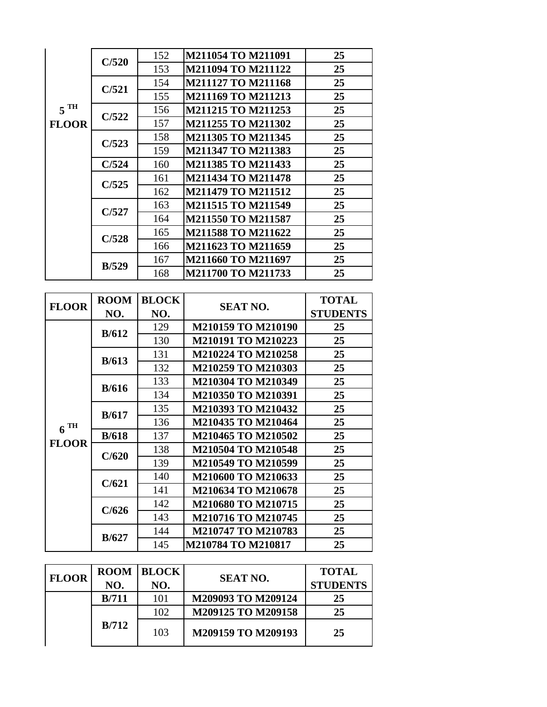|                   | C/520       | 152          | M211054 TO M211091                       | 25              |
|-------------------|-------------|--------------|------------------------------------------|-----------------|
|                   |             | 153          | M211094 TO M211122                       | 25              |
|                   | C/521       | 154          | <b>M211127 TO M211168</b>                | 25              |
|                   |             | 155          | M211169 TO M211213                       | 25              |
| $5$ <sup>TH</sup> | C/522       | 156          | M211215 TO M211253                       | 25              |
| <b>FLOOR</b>      |             | 157          | M211255 TO M211302                       | 25              |
|                   | C/523       | 158          | M211305 TO M211345                       | 25              |
|                   |             | 159          | M211347 TO M211383                       | 25              |
|                   | C/524       | 160          | M211385 TO M211433                       | 25              |
|                   | C/525       | 161          | <b>M211434 TO M211478</b>                | 25              |
|                   |             | 162          | M211479 TO M211512                       | 25              |
|                   | C/527       | 163          | M211515 TO M211549                       | 25              |
|                   |             | 164          | M211550 TO M211587                       | 25              |
|                   | C/528       | 165          | M211588 TO M211622                       | 25              |
|                   |             | 166          | M211623 TO M211659                       | 25              |
|                   | B/529       | 167          | M211660 TO M211697                       | 25              |
|                   |             | 168          | M211700 TO M211733                       | 25              |
|                   |             |              |                                          |                 |
|                   |             |              |                                          |                 |
|                   | <b>ROOM</b> | <b>BLOCK</b> |                                          | <b>TOTAL</b>    |
| <b>FLOOR</b>      | NO.         | NO.          | <b>SEAT NO.</b>                          | <b>STUDENTS</b> |
|                   |             | 129          | M210159 TO M210190                       | 25              |
|                   | B/612       | 130          | M210191 TO M210223                       | 25              |
|                   |             | 131          | M210224 TO M210258                       | 25              |
|                   | B/613       | 132          | M210259 TO M210303                       | 25              |
|                   |             | 133          | M210304 TO M210349                       | 25              |
|                   | B/616       | 134          | M210350 TO M210391                       | 25              |
|                   |             | 135          | M210393 TO M210432                       | 25              |
|                   | B/617       | 136          | M210435 TO M210464                       | 25              |
| $6^{TH}$          | B/618       | 137          | M210465 TO M210502                       | 25              |
| <b>FLOOR</b>      |             | 138          | M210504 TO M210548                       | 25              |
|                   | C/620       | 139          | M210549 TO M210599                       | 25              |
|                   |             | 140          | M210600 TO M210633                       | 25              |
|                   | C/621       | 141          | M210634 TO M210678                       | 25              |
|                   |             | 142          | M210680 TO M210715                       | 25              |
|                   | C/626       | 143          | M210716 TO M210745                       | 25              |
|                   | B/627       | 144<br>145   | M210747 TO M210783<br>M210784 TO M210817 | 25<br>25        |

| <b>FLOOR</b> | <b>ROOM</b> | <b>BLOCK</b> | <b>SEAT NO.</b>    | <b>TOTAL</b>    |
|--------------|-------------|--------------|--------------------|-----------------|
|              | NO.         | NO.          |                    | <b>STUDENTS</b> |
|              | B/711       | 101          | M209093 TO M209124 | 25              |
|              |             | 102          | M209125 TO M209158 | 25              |
|              | B/712       | 103          | M209159 TO M209193 | 25              |